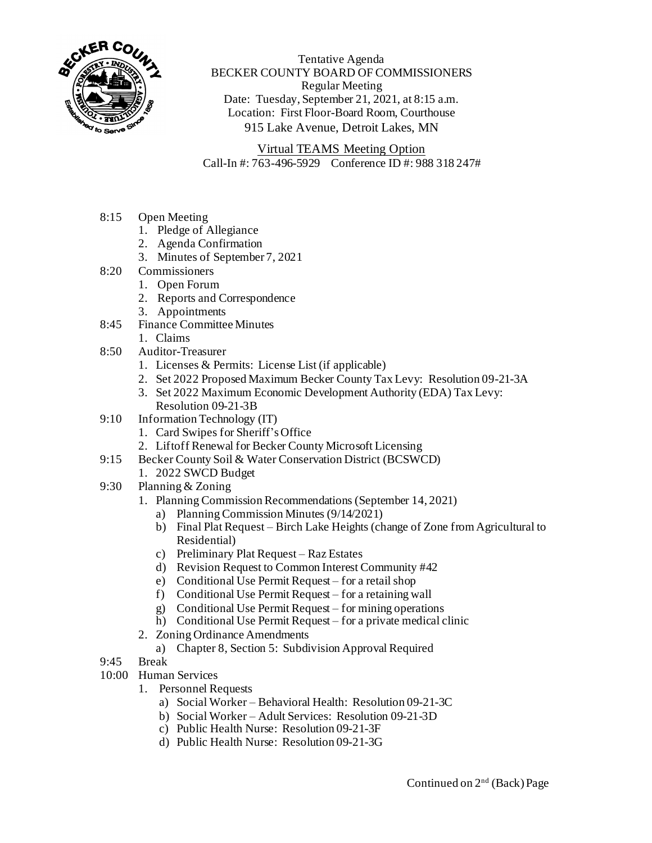

Tentative Agenda BECKER COUNTY BOARD OF COMMISSIONERS Regular Meeting Date: Tuesday, September 21, 2021, at 8:15 a.m. Location: First Floor-Board Room, Courthouse 915 Lake Avenue, Detroit Lakes, MN

Virtual TEAMS Meeting Option Call-In #: 763-496-5929 Conference ID #: 988 318 247#

- 8:15 Open Meeting
	- 1. Pledge of Allegiance
	- 2. Agenda Confirmation
	- 3. Minutes of September 7, 2021
- 8:20 Commissioners
	- 1. Open Forum
	- 2. Reports and Correspondence
	- 3. Appointments
- 8:45 Finance Committee Minutes
	- 1. Claims
- 8:50 Auditor-Treasurer
	- 1. Licenses & Permits: License List (if applicable)
	- 2. Set 2022 Proposed Maximum Becker County Tax Levy: Resolution 09-21-3A
	- 3. Set 2022 Maximum Economic Development Authority (EDA) Tax Levy: Resolution 09-21-3B
- 9:10 Information Technology (IT)
	- 1. Card Swipes for Sheriff's Office
	- 2. Liftoff Renewal for Becker County Microsoft Licensing
- 9:15 Becker County Soil & Water Conservation District (BCSWCD)
	- 1. 2022 SWCD Budget
- 9:30 Planning & Zoning
	- 1. Planning Commission Recommendations (September 14, 2021)
		- a) Planning Commission Minutes (9/14/2021)
		- b) Final Plat Request Birch Lake Heights (change of Zone from Agricultural to Residential)
		- c) Preliminary Plat Request Raz Estates
		- d) Revision Request to Common Interest Community #42
		- e) Conditional Use Permit Request for a retail shop
		- f) Conditional Use Permit Request for a retaining wall
		- g) Conditional Use Permit Request for mining operations
		- h) Conditional Use Permit Request for a private medical clinic
	- 2. Zoning Ordinance Amendments
		- a) Chapter 8, Section 5: Subdivision Approval Required
- 9:45 Break
- 10:00 Human Services
	- 1. Personnel Requests
		- a) Social Worker Behavioral Health: Resolution 09-21-3C
		- b) Social Worker Adult Services: Resolution 09-21-3D
		- c) Public Health Nurse: Resolution 09-21-3F
		- d) Public Health Nurse: Resolution 09-21-3G